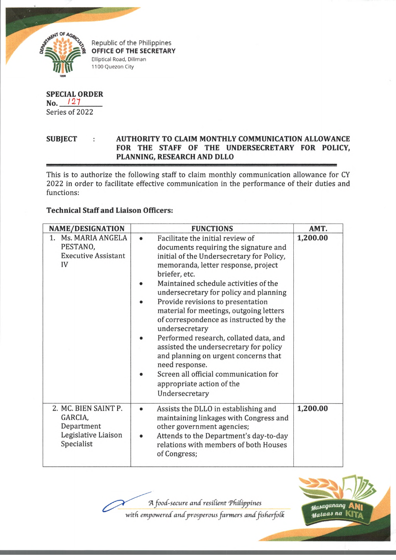

Republic of the Philippines OFFICE OF THE SECRETARY Elliptical Road, Diliman 1100 Quezon City

## **SPECIAL ORDER No.** *12* 7 Series of 2022

## SUBJECT : AUTHORITY TO CLAIM MONTHLY COMMUNICATION ALLOWANCE **FOR THE STAFF OF THE UNDERSECRETARY FOR POLICY, PLANNING, RESEARCH AND DLLO**

This is to authorize the following staff to claim monthly communication allowance for CY 2022 in order to facilitate effective communication in the performance of their duties and functions:

## **Technical Staff and Liaison Officers:**

| <b>NAME/DESIGNATION</b>                                                            | <b>FUNCTIONS</b>                                                                                                                                                                                                                                                                                                                                                                                                                                                                                                                                                                                                                                                 | AMT.     |
|------------------------------------------------------------------------------------|------------------------------------------------------------------------------------------------------------------------------------------------------------------------------------------------------------------------------------------------------------------------------------------------------------------------------------------------------------------------------------------------------------------------------------------------------------------------------------------------------------------------------------------------------------------------------------------------------------------------------------------------------------------|----------|
| 1. Ms. MARIA ANGELA<br>PESTANO,<br><b>Executive Assistant</b><br>IV                | Facilitate the initial review of<br>$\bullet$<br>documents requiring the signature and<br>initial of the Undersecretary for Policy,<br>memoranda, letter response, project<br>briefer, etc.<br>Maintained schedule activities of the<br>undersecretary for policy and planning<br>Provide revisions to presentation<br>material for meetings, outgoing letters<br>of correspondence as instructed by the<br>undersecretary<br>Performed research, collated data, and<br>assisted the undersecretary for policy<br>and planning on urgent concerns that<br>need response.<br>Screen all official communication for<br>appropriate action of the<br>Undersecretary | 1,200.00 |
| 2. MC. BIEN SAINT P.<br>GARCIA,<br>Department<br>Legislative Liaison<br>Specialist | Assists the DLLO in establishing and<br>$\bullet$<br>maintaining linkages with Congress and<br>other government agencies;<br>Attends to the Department's day-to-day<br>relations with members of both Houses<br>of Congress;                                                                                                                                                                                                                                                                                                                                                                                                                                     | 1,200.00 |

 $A$  *food-secure and resilient Philippines* 

with empowered and prosperous farmers and fisherfolk